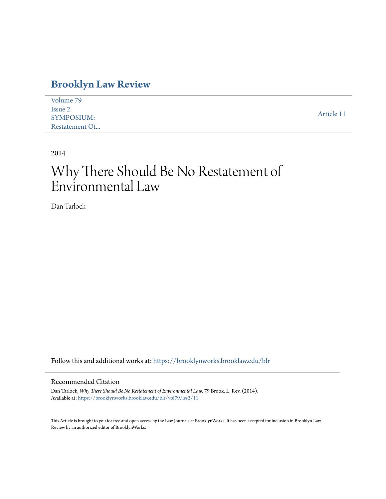# **[Brooklyn Law Review](https://brooklynworks.brooklaw.edu/blr?utm_source=brooklynworks.brooklaw.edu%2Fblr%2Fvol79%2Fiss2%2F11&utm_medium=PDF&utm_campaign=PDFCoverPages)**

| Volume 79         |            |
|-------------------|------------|
| Issue 2           |            |
| <b>SYMPOSIUM:</b> | Article 11 |
| Restatement Of    |            |

2014

# Why There Should Be No Restatement of Environmental Law

Dan Tarlock

Follow this and additional works at: [https://brooklynworks.brooklaw.edu/blr](https://brooklynworks.brooklaw.edu/blr?utm_source=brooklynworks.brooklaw.edu%2Fblr%2Fvol79%2Fiss2%2F11&utm_medium=PDF&utm_campaign=PDFCoverPages)

# Recommended Citation

Dan Tarlock, *Why There Should Be No Restatement of Environmental Law*, 79 Brook. L. Rev. (2014). Available at: [https://brooklynworks.brooklaw.edu/blr/vol79/iss2/11](https://brooklynworks.brooklaw.edu/blr/vol79/iss2/11?utm_source=brooklynworks.brooklaw.edu%2Fblr%2Fvol79%2Fiss2%2F11&utm_medium=PDF&utm_campaign=PDFCoverPages)

This Article is brought to you for free and open access by the Law Journals at BrooklynWorks. It has been accepted for inclusion in Brooklyn Law Review by an authorized editor of BrooklynWorks.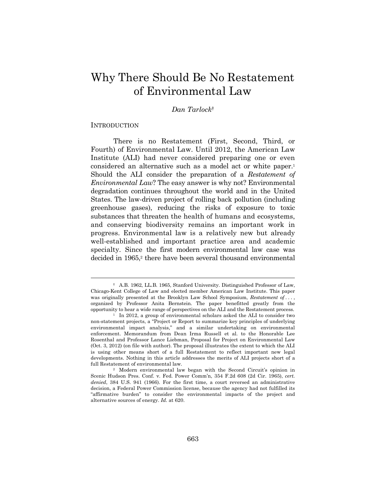# Why There Should Be No Restatement of Environmental Law

## *Dan Tarlock*†

#### **INTRODUCTION**

There is no Restatement (First, Second, Third, or Fourth) of Environmental Law. Until 2012, the American Law Institute (ALI) had never considered preparing one or even considered an alternative such as a model act or white paper.1 Should the ALI consider the preparation of a *Restatement of Environmental Law*? The easy answer is why not? Environmental degradation continues throughout the world and in the United States. The law-driven project of rolling back pollution (including greenhouse gases), reducing the risks of exposure to toxic substances that threaten the health of humans and ecosystems, and conserving biodiversity remains an important work in progress. Environmental law is a relatively new but already well-established and important practice area and academic specialty. Since the first modern environmental law case was decided in 1965,<sup>2</sup> there have been several thousand environmental

 <sup>†</sup> A.B. 1962, LL.B. 1965, Stanford University. Distinguished Professor of Law, Chicago-Kent College of Law and elected member American Law Institute. This paper was originally presented at the Brooklyn Law School Symposium, *Restatement of . . .* , organized by Professor Anita Bernstein. The paper benefitted greatly from the opportunity to hear a wide range of perspectives on the ALI and the Restatement process. 1 In 2012, a group of environmental scholars asked the ALI to consider two

non-statement projects, a "Project or Report to summarize key principles of underlying environmental impact analysis," and a similar undertaking on environmental enforcement. Memorandum from Dean Irma Russell et al. to the Honorable Lee Rosenthal and Professor Lance Liebman, Proposal for Project on Environmental Law (Oct. 3, 2012) (on file with author). The proposal illustrates the extent to which the ALI is using other means short of a full Restatement to reflect important new legal developments. Nothing in this article addresses the merits of ALI projects short of a full Restatement of environmental law.<br><sup>2</sup> Modern environmental law began with the Second Circuit's opinion in

Scenic Hudson Pres. Conf. v. Fed. Power Comm'n, 354 F.2d 608 (2d Cir. 1965), *cert. denied*, 384 U.S. 941 (1966). For the first time, a court reversed an administrative decision, a Federal Power Commission license, because the agency had not fulfilled its "affirmative burden" to consider the environmental impacts of the project and alternative sources of energy. *Id.* at 620.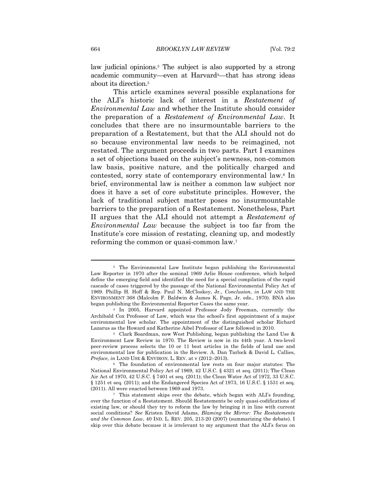law judicial opinions.3 The subject is also supported by a strong academic community—even at Harvard<sup>4</sup>—that has strong ideas about its direction.5

This article examines several possible explanations for the ALI's historic lack of interest in a *Restatement of Environmental Law* and whether the Institute should consider the preparation of a *Restatement of Environmental Law*. It concludes that there are no insurmountable barriers to the preparation of a Restatement, but that the ALI should not do so because environmental law needs to be reimagined, not restated. The argument proceeds in two parts. Part I examines a set of objections based on the subject's newness, non-common law basis, positive nature, and the politically charged and contested, sorry state of contemporary environmental law.6 In brief, environmental law is neither a common law subject nor does it have a set of core substitute principles. However, the lack of traditional subject matter poses no insurmountable barriers to the preparation of a Restatement. Nonetheless, Part II argues that the ALI should not attempt a *Restatement of Environmental Law* because the subject is too far from the Institute's core mission of restating, cleaning up, and modestly reforming the common or quasi-common law.7

<sup>3</sup> The Environmental Law Institute began publishing the Environmental Law Reporter in 1970 after the seminal 1969 Arlie House conference, which helped define the emerging field and identified the need for a special compilation of the rapid cascade of cases triggered by the passage of the National Environmental Policy Act of 1969. Phillip H. Hoff & Rep. Paul N. McCloskey, Jr., *Conclusion*, *in* LAW AND THE ENVIRONMENT 368 (Malcolm F. Baldwin & James K. Page, Jr. eds., 1970). BNA also began publishing the Environmental Reporter Cases the same year.

<sup>4</sup> In 2005, Harvard appointed Professor Jody Freeman, currently the Archibald Cox Professor of Law, which was the school's first appointment of a major environmental law scholar. The appointment of the distinguished scholar Richard Lazarus as the Howard and Katherine Aibel Professor of Law followed in 2010. 5 Clark Boardman, now West Publishing, began publishing the Land Use &

Environment Law Review in 1970. The Review is now in its 44th year. A two-level peer-review process selects the 10 or 11 best articles in the fields of land use and environmental law for publication in the Review. A. Dan Tarlock & David L. Callies, *Preface*, *in* LAND USE & ENVIRON. L. REV. at v (2012–2013).<br><sup>6</sup> The foundation of environmental law rests on four major statutes: The

National Environmental Policy Act of 1969, 42 U.S.C. § 4321 et seq. (2011); The Clean Air Act of 1970, 42 U.S.C. § 7401 et seq. (2011); the Clean Water Act of 1972, 33 U.S.C. § 1251 et seq. (2011); and the Endangered Species Act of 1973, 16 U.S.C. § 1531 et seq. (2011). All were enacted between 1969 and 1973.<br><sup>7</sup> This statement skips over the debate, which began with ALI's founding,

over the function of a Restatement. Should Restatements be only quasi-codifications of existing law, or should they try to reform the law by bringing it in line with current social conditions? *See* Kristen David Adams, *Blaming the Mirror: The Restatements and the Common Law*, 40 IND. L. REV. 205, 213-20 (2007) (summarizing the debate). I skip over this debate because it is irrelevant to my argument that the ALI's focus on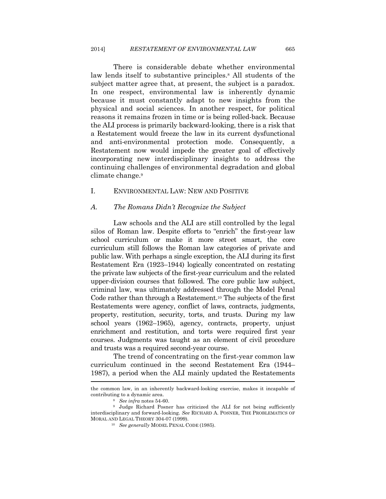There is considerable debate whether environmental law lends itself to substantive principles.8 All students of the subject matter agree that, at present, the subject is a paradox. In one respect, environmental law is inherently dynamic because it must constantly adapt to new insights from the physical and social sciences. In another respect, for political reasons it remains frozen in time or is being rolled-back. Because the ALI process is primarily backward-looking, there is a risk that a Restatement would freeze the law in its current dysfunctional and anti-environmental protection mode. Consequently, a Restatement now would impede the greater goal of effectively incorporating new interdisciplinary insights to address the continuing challenges of environmental degradation and global climate change.9

#### I. ENVIRONMENTAL LAW: NEW AND POSITIVE

#### *A. The Romans Didn't Recognize the Subject*

Law schools and the ALI are still controlled by the legal silos of Roman law. Despite efforts to "enrich" the first-year law school curriculum or make it more street smart, the core curriculum still follows the Roman law categories of private and public law. With perhaps a single exception, the ALI during its first Restatement Era (1923–1944) logically concentrated on restating the private law subjects of the first-year curriculum and the related upper-division courses that followed. The core public law subject, criminal law, was ultimately addressed through the Model Penal Code rather than through a Restatement.10 The subjects of the first Restatements were agency, conflict of laws, contracts, judgments, property, restitution, security, torts, and trusts. During my law school years (1962–1965), agency, contracts, property, unjust enrichment and restitution, and torts were required first year courses. Judgments was taught as an element of civil procedure and trusts was a required second-year course.

The trend of concentrating on the first-year common law curriculum continued in the second Restatement Era (1944– 1987), a period when the ALI mainly updated the Restatements

the common law, in an inherently backward-looking exercise, makes it incapable of contributing to a dynamic area. 8 *See infra* notes 54-60. 9 Judge Richard Posner has criticized the ALI for not being sufficiently

interdisciplinary and forward-looking. *See* RICHARD A. POSNER, THE PROBLEMATICS OF MORAL AND LEGAL THEORY 304-07 (1999). 10 *See generally* MODEL PENAL CODE (1985).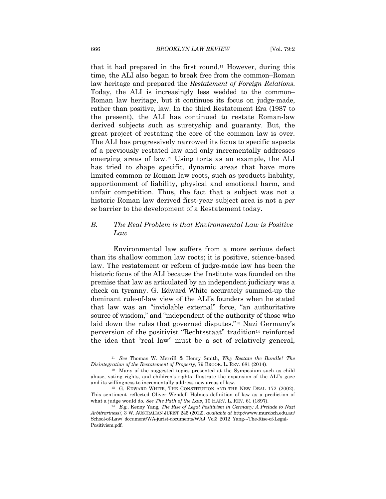that it had prepared in the first round.11 However, during this time, the ALI also began to break free from the common–Roman law heritage and prepared the *Restatement of Foreign Relations*. Today, the ALI is increasingly less wedded to the common– Roman law heritage, but it continues its focus on judge-made, rather than positive, law. In the third Restatement Era (1987 to the present), the ALI has continued to restate Roman-law derived subjects such as suretyship and guaranty. But, the great project of restating the core of the common law is over. The ALI has progressively narrowed its focus to specific aspects of a previously restated law and only incrementally addresses emerging areas of law.12 Using torts as an example, the ALI has tried to shape specific, dynamic areas that have more limited common or Roman law roots, such as products liability, apportionment of liability, physical and emotional harm, and unfair competition. Thus, the fact that a subject was not a historic Roman law derived first-year subject area is not a *per se* barrier to the development of a Restatement today.

## *B. The Real Problem is that Environmental Law is Positive Law*

Environmental law suffers from a more serious defect than its shallow common law roots; it is positive, science-based law. The restatement or reform of judge-made law has been the historic focus of the ALI because the Institute was founded on the premise that law as articulated by an independent judiciary was a check on tyranny. G. Edward White accurately summed-up the dominant rule-of-law view of the ALI's founders when he stated that law was an "inviolable external" force, "an authoritative source of wisdom," and "independent of the authority of those who laid down the rules that governed disputes."13 Nazi Germany's perversion of the positivist "Rechtsstaat" tradition<sup>14</sup> reinforced the idea that "real law" must be a set of relatively general,

<sup>11</sup> *See* Thomas W. Merrill & Henry Smith, *Why Restate the Bundle? The* 

<sup>&</sup>lt;sup>12</sup> Many of the suggested topics presented at the Symposium such as child abuse, voting rights, and children's rights illustrate the expansion of the ALI's gaze and its willingness to incrementally address new areas of law.<br><sup>13</sup> G. EDWARD WHITE, THE CONSTITUTION AND THE NEW DEAL 172 (2002).

This sentiment reflected Oliver Wendell Holmes definition of law as a prediction of what a judge would do. *See The Path of the Law*, 10 HARV. L. REV. 61 (1897).<br><sup>14</sup> E.g., Kenny Yang, *The Rise of Legal Positivism in Germany: A Prelude to Nazi* 

*Arbitrariness?*, 3 W. AUSTRALIAN JURIST 245 (2012), *available at* http://www.murdoch.edu.au/ School-of-Law/\_document/WA-jurist-documents/WAJ\_Vol3\_2012\_Yang---The-Rise-of-Legal-Positivism.pdf.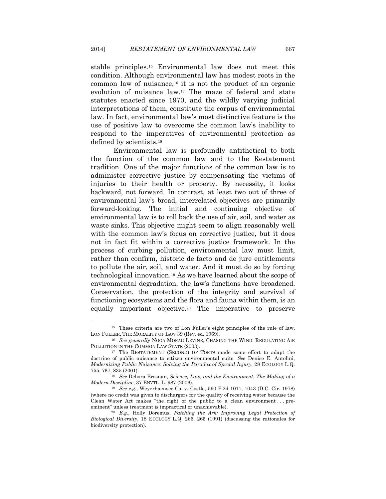stable principles.15 Environmental law does not meet this condition. Although environmental law has modest roots in the common law of nuisance,16 it is not the product of an organic evolution of nuisance law.17 The maze of federal and state statutes enacted since 1970, and the wildly varying judicial interpretations of them, constitute the corpus of environmental law. In fact, environmental law's most distinctive feature is the use of positive law to overcome the common law's inability to respond to the imperatives of environmental protection as defined by scientists.18

Environmental law is profoundly antithetical to both the function of the common law and to the Restatement tradition. One of the major functions of the common law is to administer corrective justice by compensating the victims of injuries to their health or property. By necessity, it looks backward, not forward. In contrast, at least two out of three of environmental law's broad, interrelated objectives are primarily forward-looking. The initial and continuing objective of environmental law is to roll back the use of air, soil, and water as waste sinks. This objective might seem to align reasonably well with the common law's focus on corrective justice, but it does not in fact fit within a corrective justice framework. In the process of curbing pollution, environmental law must limit, rather than confirm, historic de facto and de jure entitlements to pollute the air, soil, and water. And it must do so by forcing technological innovation.19 As we have learned about the scope of environmental degradation, the law's functions have broadened. Conservation, the protection of the integrity and survival of functioning ecosystems and the flora and fauna within them, is an equally important objective.20 The imperative to preserve

<sup>15</sup> These criteria are two of Lon Fuller's eight principles of the rule of law, LON FULLER, THE MORALITY OF LAW 39 (Rev. ed. 1969). 16 *See generally* NOGA MORAG-LEVINE, CHASING THE WIND: REGULATING AIR

POLLUTION IN THE COMMON LAW STATE (2003).<br><sup>17</sup> The RESTATEMENT (SECOND) OF TORTS made some effort to adapt the

doctrine of public nuisance to citizen environmental suits. *See* Denise E. Antolini, *Modernizing Public Nuisance: Solving the Paradox of Special Injury*, 28 ECOLOGY L.Q. 755, 767, 835 (2001). 18 *See* Debora Brosnan, *Science, Law, and the Environment: The Making of a* 

*Modern Discipline*, 37 ENVTL. L. 987 (2006).<br><sup>19</sup> See e.g., Weyerhaeuser Co. v. Costle, 590 F.2d 1011, 1043 (D.C. Cir. 1978)

<sup>(</sup>where no credit was given to dischargers for the quality of receiving water because the Clean Water Act makes "the right of the public to a clean environment . . . preeminent" unless treatment is impractical or unachievable).

<sup>20</sup> *E.g.*, Holly Doremus, *Patching the Ark: Improving Legal Protection of Biological Diversity*, 18 ECOLOGY L.Q. 265, 265 (1991) (discussing the rationales for biodiversity protection).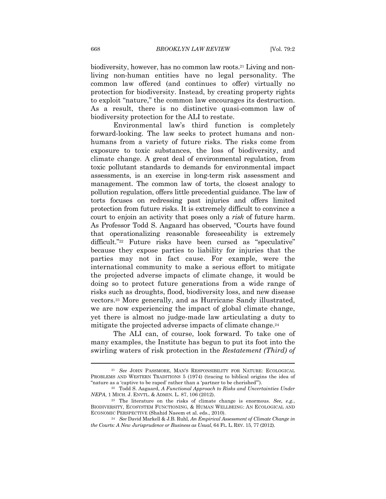biodiversity, however, has no common law roots.21 Living and nonliving non-human entities have no legal personality. The common law offered (and continues to offer) virtually no protection for biodiversity. Instead, by creating property rights to exploit "nature," the common law encourages its destruction. As a result, there is no distinctive quasi-common law of biodiversity protection for the ALI to restate.

Environmental law's third function is completely forward-looking. The law seeks to protect humans and nonhumans from a variety of future risks. The risks come from exposure to toxic substances, the loss of biodiversity, and climate change. A great deal of environmental regulation, from toxic pollutant standards to demands for environmental impact assessments, is an exercise in long-term risk assessment and management. The common law of torts, the closest analogy to pollution regulation, offers little precedential guidance. The law of torts focuses on redressing past injuries and offers limited protection from future risks. It is extremely difficult to convince a court to enjoin an activity that poses only a *risk* of future harm. As Professor Todd S. Aagaard has observed, "Courts have found that operationalizing reasonable foreseeability is extremely difficult."<sup>22</sup> Future risks have been cursed as "speculative" because they expose parties to liability for injuries that the parties may not in fact cause. For example, were the international community to make a serious effort to mitigate the projected adverse impacts of climate change, it would be doing so to protect future generations from a wide range of risks such as droughts, flood, biodiversity loss, and new disease vectors.23 More generally, and as Hurricane Sandy illustrated, we are now experiencing the impact of global climate change, yet there is almost no judge-made law articulating a duty to mitigate the projected adverse impacts of climate change.24

The ALI can, of course, look forward. To take one of many examples, the Institute has begun to put its foot into the swirling waters of risk protection in the *Restatement (Third) of* 

<sup>21</sup> *See* JOHN PASSMORE, MAN'S RESPONSIBILITY FOR NATURE: ECOLOGICAL PROBLEMS AND WESTERN TRADITIONS 5 (1974) (tracing to biblical origins the idea of

<sup>&</sup>quot;nature as a 'captive to be raped' rather than a 'partner to be cherished'"). 22 Todd S. Aagaard, *A Functional Approach to Risks and Uncertainties Under* 

<sup>&</sup>lt;sup>23</sup> The literature on the risks of climate change is enormous. *See, e.g.*, BIODIVERSITY, ECOSYSTEM FUNCTIONING, & HUMAN WELLBEING: AN ECOLOGICAL AND ECONOMIC PERSPECTIVE (Shahid Naeem et al. eds., 2010). 24 *See* David Markell & J.B. Ruhl, *An Empirical Assessment of Climate Change in* 

*the Courts: A New Jurisprudence or Business as Usual*, 64 FL. L. REV. 15, 77 (2012).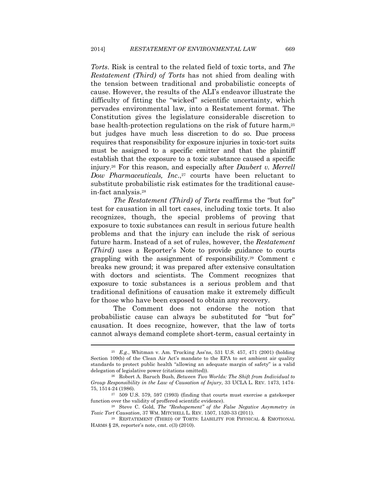*Torts*. Risk is central to the related field of toxic torts, and *The Restatement (Third) of Torts* has not shied from dealing with the tension between traditional and probabilistic concepts of cause. However, the results of the ALI's endeavor illustrate the difficulty of fitting the "wicked" scientific uncertainty, which pervades environmental law, into a Restatement format. The Constitution gives the legislature considerable discretion to base health-protection regulations on the risk of future harm,25 but judges have much less discretion to do so. Due process requires that responsibility for exposure injuries in toxic-tort suits must be assigned to a specific emitter and that the plaintiff establish that the exposure to a toxic substance caused a specific injury.26 For this reason, and especially after *Daubert v. Merrell Dow Pharmaceuticals, Inc.*,<sup>27</sup> courts have been reluctant to substitute probabilistic risk estimates for the traditional causein-fact analysis.28

*The Restatement (Third) of Torts* reaffirms the "but for" test for causation in all tort cases, including toxic torts. It also recognizes, though, the special problems of proving that exposure to toxic substances can result in serious future health problems and that the injury can include the risk of serious future harm. Instead of a set of rules, however, the *Restatement (Third)* uses a Reporter's Note to provide guidance to courts grappling with the assignment of responsibility.29 Comment c breaks new ground; it was prepared after extensive consultation with doctors and scientists. The Comment recognizes that exposure to toxic substances is a serious problem and that traditional definitions of causation make it extremely difficult for those who have been exposed to obtain any recovery.

The Comment does not endorse the notion that probabilistic cause can always be substituted for "but for" causation. It does recognize, however, that the law of torts cannot always demand complete short-term, casual certainty in

<sup>25</sup> *E.g.*, Whitman v. Am. Trucking Ass'ns, 531 U.S. 457, 471 (2001) (holding Section 109(b) of the Clean Air Act's mandate to the EPA to set ambient air quality standards to protect public health "allowing an adequate margin of safety" is a valid delegation of legislative power (citations omitted)). 26 Robert A. Baruch Bush, *Between Two Worlds: The Shift from Individual to* 

*Group Responsibility in the Law of Causation of Injury*, 33 UCLA L. REV. 1473, 1474- 75, 1514-24 (1986). 27 509 U.S. 579, 597 (1993) (finding that courts must exercise a gatekeeper

function over the validity of proffered scientific evidence). 28 Steve C. Gold, *The "Reshapement" of the False Negative Asymmetry in* 

*Toxic Tort Causation*, 37 WM. MITCHELL L. REV. 1507, 1520-33 (2011).<br><sup>29</sup> RESTATEMENT (THIRD) OF TORTS: LIABILITY FOR PHYSICAL & EMOTIONAL

HARMS § 28, reporter's note, cmt. c(3) (2010).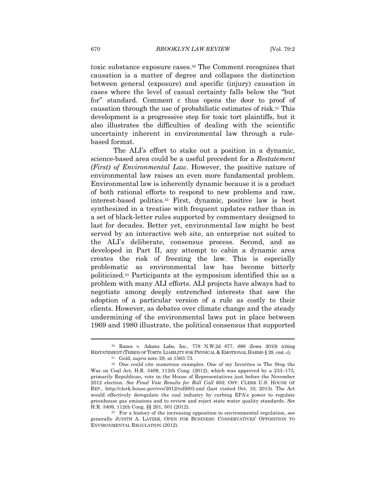toxic substance exposure cases.30 The Comment recognizes that causation is a matter of degree and collapses the distinction between general (exposure) and specific (injury) causation in cases where the level of casual certainty falls below the "but for" standard. Comment c thus opens the door to proof of causation through the use of probabilistic estimates of risk.31 This development is a progressive step for toxic tort plaintiffs, but it also illustrates the difficulties of dealing with the scientific uncertainty inherent in environmental law through a rulebased format.

The ALI's effort to stake out a position in a dynamic, science-based area could be a useful precedent for a *Restatement (First) of Environmental Law*. However, the positive nature of environmental law raises an even more fundamental problem. Environmental law is inherently dynamic because it is a product of both rational efforts to respond to new problems and raw, interest-based politics.32 First, dynamic, positive law is best synthesized in a treatise with frequent updates rather than in a set of black-letter rules supported by commentary designed to last for decades. Better yet, environmental law might be best served by an interactive web site, an enterprise not suited to the ALI's deliberate, consensus process. Second, and as developed in Part II, any attempt to cabin a dynamic area creates the risk of freezing the law. This is especially problematic as environmental law has become bitterly politicized.33 Participants at the symposium identified this as a problem with many ALI efforts. ALI projects have always had to negotiate among deeply entrenched interests that saw the adoption of a particular version of a rule as costly to their clients. However, as debates over climate change and the steady undermining of the environmental laws put in place between 1969 and 1980 illustrate, the political consensus that supported

<sup>30</sup> Ranes v. Adams Labs, Inc., 778 N.W.2d 677, 688 (Iowa 2010) (citing RESTATEMENT (THIRD) OF TORTS:LIABILITY FOR PHYSICAL & EMOTIONAL HARMS § 28, cmt. c).

<sup>31</sup> Gold, *supra* note 28, at 1563-73. 32 One could cite numerous examples. One of my favorites is The Stop the War on Coal Act, H.R. 3409, 112th Cong. (2012), which was approved by a 233–175, primarily Republican, vote in the House of Representatives just before the November 2012 election. *See Final Vote Results for Roll Call 603*, OFF. CLERK U.S. HOUSE OF REP., http://clerk.house.gov/evs/2012/roll603.xml (last visited Oct. 10, 2013). The Act would effectively deregulate the coal industry by curbing EPA's power to regulate greenhouse gas emissions and to review and reject state water quality standards. *See* H.R. 3409, 112th Cong. §§ 201, 501 (2012).<br><sup>33</sup> For a history of the increasing opposition to environmental regulation, see

generally JUDITH A. LAYZER, OPEN FOR BUSINESS: CONSERVATIVES' OPPOSITION TO ENVIRONMENTAL REGULATION (2012).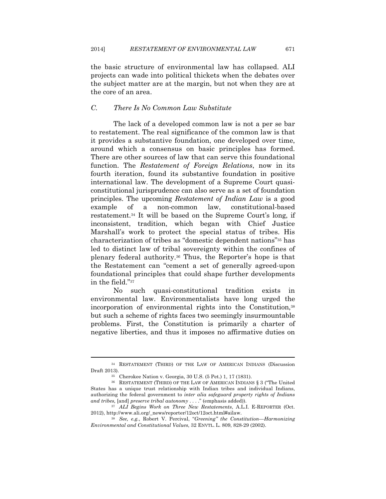the basic structure of environmental law has collapsed. ALI projects can wade into political thickets when the debates over the subject matter are at the margin, but not when they are at the core of an area.

## *C. There Is No Common Law Substitute*

The lack of a developed common law is not a per se bar to restatement. The real significance of the common law is that it provides a substantive foundation, one developed over time, around which a consensus on basic principles has formed. There are other sources of law that can serve this foundational function. The *Restatement of Foreign Relations*, now in its fourth iteration, found its substantive foundation in positive international law. The development of a Supreme Court quasiconstitutional jurisprudence can also serve as a set of foundation principles. The upcoming *Restatement of Indian Law* is a good example of a non-common law, constitutional-based restatement.34 It will be based on the Supreme Court's long, if inconsistent, tradition, which began with Chief Justice Marshall's work to protect the special status of tribes. His characterization of tribes as "domestic dependent nations"35 has led to distinct law of tribal sovereignty within the confines of plenary federal authority.36 Thus, the Reporter's hope is that the Restatement can "cement a set of generally agreed-upon foundational principles that could shape further developments in the field."37

No such quasi-constitutional tradition exists in environmental law. Environmentalists have long urged the incorporation of environmental rights into the Constitution,38 but such a scheme of rights faces two seemingly insurmountable problems. First, the Constitution is primarily a charter of negative liberties, and thus it imposes no affirmative duties on

<sup>34</sup> RESTATEMENT (THIRD) OF THE LAW OF AMERICAN INDIANS (Discussion Draft 2013). 35 Cherokee Nation v. Georgia, 30 U.S. (5 Pet.) 1, 17 (1831).

<sup>36</sup> RESTATEMENT (THIRD) OF THE LAW OF AMERICAN INDIANS § 3 ("The United States has a unique trust relationship with Indian tribes and individual Indians, authorizing the federal government to *inter alia safeguard property rights of Indians and tribes,* [and] *preserve tribal autonomy* . . . ." (emphasis added)). 37 *ALI Begins Work on Three New Restatements*, A.L.I. E-REPORTER (Oct.

<sup>2012),</sup> http://www.ali.org/\_news/reporter/12oct/12oct.html#ailaw. 38 *See, e.g.*, Robert V. Percival, "*Greening" the Constitution—Harmonizing* 

*Environmental and Constitutional Values*, 32 ENVTL. L. 809, 828-29 (2002).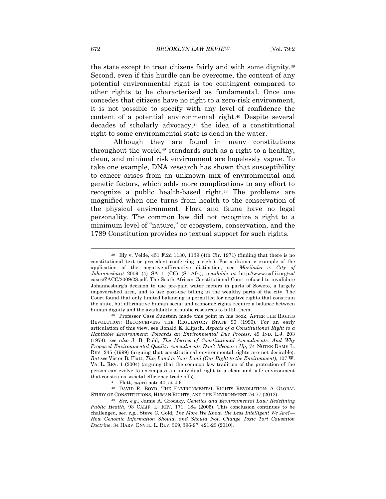the state except to treat citizens fairly and with some dignity.39 Second, even if this hurdle can be overcome, the content of any potential environmental right is too contingent compared to other rights to be characterized as fundamental. Once one concedes that citizens have no right to a zero-risk environment, it is not possible to specify with any level of confidence the content of a potential environmental right.40 Despite several  $decades$  of scholarly advocacy, $41$  the idea of a constitutional right to some environmental state is dead in the water.

Although they are found in many constitutions throughout the world,42 standards such as a right to a healthy, clean, and minimal risk environment are hopelessly vague. To take one example, DNA research has shown that susceptibility to cancer arises from an unknown mix of environmental and genetic factors, which adds more complications to any effort to recognize a public health-based right.43 The problems are magnified when one turns from health to the conservation of the physical environment. Flora and fauna have no legal personality. The common law did not recognize a right to a minimum level of "nature," or ecosystem, conservation, and the 1789 Constitution provides no textual support for such rights.

<sup>39</sup> Ely v. Velde, 451 F.2d 1130, 1139 (4th Cir. 1971) (finding that there is no constitutional text or precedent conferring a right). For a dramatic example of the application of the negative-affirmative distinction, see *Mazibuko v. City of Johannesburg* 2009 (4) SA 1 (CC) (S. Afr.), *available at* http://www.saflii.org/za/ cases/ZACC/2009/28.pdf. The South African Constitutional Court refused to invalidate Johannesburg's decision to use pre-paid water meters in parts of Soweto, a largely impoverished area, and to use post-use billing in the wealthy parts of the city. The Court found that only limited balancing is permitted for negative rights that constrain the state, but affirmative human social and economic rights require a balance between human dignity and the availability of public resources to fulfill them.<br><sup>40</sup> Professor Cass Sunstein made this point in his book, AFTER THE RIGHTS

REVOLUTION: RECONCEIVING THE REGULATORY STATE 90 (1990). For an early articulation of this view, see Ronald E. Klipsch, *Aspects of a Constitutional Right to a Habitable Environment: Towards an Environmental Due Process*, 49 IND. L.J. 203 (1974); *see also* J. B. Ruhl, *The Metrics of Constitutional Amendments: And Why Proposed Environmental Quality Amendments Don't Measure Up*, 74 NOTRE DAME L. REV. 245 (1999) (arguing that constitutional environmental rights are not desirable). *But see* Victor B. Flatt, *This Land is Your Land (Our Right to the Environment)*, 107 W. VA. L. REV. 1 (2004) (arguing that the common law tradition of the protection of the person can evolve to encompass an individual right to a clean and safe environment

that constrains societal efficiency trade-offs).<br>
<sup>41</sup> Flatt, *supra* note 40, at 4-6.<br>
<sup>42</sup> DAVID R. BOYD, THE ENVIRONMENTAL RIGHTS REVOLUTION: A GLOBAL<br>
STUDY OF CONSTITUTIONS, HUMAN RIGHTS, AND THE ENVIRONMENT 76-77 (20

<sup>&</sup>lt;sup>43</sup> See, e.g., Jamie A. Grodsky, *Genetics and Environmental Law: Redefining Public Health*, 93 CALIF. L. REV. 171, 184 (2005). This conclusion continues to be challenged, *see, e.g.*, Steve C. Gold, *The More We Know, the Less Intelligent We Are?— How Genomic Information Should, and Should Not, Change Toxic Tort Causation Doctrine*, 34 HARV. ENVTL. L. REV. 369, 396-97, 421-23 (2010).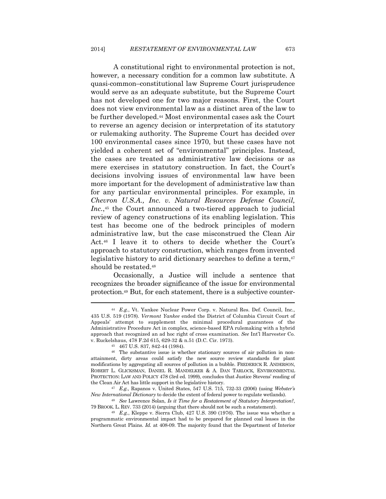A constitutional right to environmental protection is not, however, a necessary condition for a common law substitute. A quasi-common–constitutional law Supreme Court jurisprudence would serve as an adequate substitute, but the Supreme Court has not developed one for two major reasons. First, the Court does not view environmental law as a distinct area of the law to be further developed.44 Most environmental cases ask the Court to reverse an agency decision or interpretation of its statutory or rulemaking authority. The Supreme Court has decided over 100 environmental cases since 1970, but these cases have not yielded a coherent set of "environmental" principles. Instead, the cases are treated as administrative law decisions or as mere exercises in statutory construction. In fact, the Court's decisions involving issues of environmental law have been more important for the development of administrative law than for any particular environmental principles. For example, in *Chevron U.S.A., Inc. v. Natural Resources Defense Council, Inc.*,45 the Court announced a two-tiered approach to judicial review of agency constructions of its enabling legislation. This test has become one of the bedrock principles of modern administrative law, but the case misconstrued the Clean Air Act.46 I leave it to others to decide whether the Court's approach to statutory construction, which ranges from invented legislative history to arid dictionary searches to define a term,<sup>47</sup> should be restated.48

Occasionally, a Justice will include a sentence that recognizes the broader significance of the issue for environmental protection.49 But, for each statement, there is a subjective counter-

<sup>44</sup> *E.g.*, Vt. Yankee Nuclear Power Corp. v. Natural Res. Def. Council, Inc., 435 U.S. 519 (1978). *Vermont Yankee* ended the District of Columbia Circuit Court of Appeals' attempt to supplement the minimal procedural guarantees of the Administrative Procedure Act in complex, science-based EPA rulemaking with a hybrid approach that recognized an ad hoc right of cross examination. *See* Int'l Harvester Co. v. Ruckelshaus, 478 F.2d 615, 629-32 & n.51 (D.C. Cir. 1973). 45 467 U.S. 837, 842-44 (1984).

<sup>46</sup> The substantive issue is whether stationary sources of air pollution in nonattainment, dirty areas could satisfy the new source review standards for plant modifications by aggregating all sources of pollution in a bubble. FREDERICK R. ANDERSON, ROBERT L. GLICKSMAN, DANIEL R. MANDELKER & A. DAN TARLOCK, ENVIRONMENTAL PROTECTION: LAW AND POLICY 478 (3rd ed. 1999), concludes that Justice Stevens' reading of

the Clean Air Act has little support in the legislative history.<br><sup>47</sup> E.g., Rapanos v. United States, 547 U.S. 715, 732-33 (2006) (using *Webster's New International Dictionary* to decide the extent of federal power to r

<sup>&</sup>lt;sup>48</sup> See Lawrence Solan, *Is it Time for a Restatement of Statutory Interpretation?*, 79 BROOK. L. REV. 733 (2014) (arguing that there should not be such a restatement). 49 *E.g.*, Kleppe v. Sierra Club, 427 U.S. 390 (1976). The issue was whether a

programmatic environmental impact had to be prepared for planned coal leases in the Northern Great Plains. *Id.* at 408-09. The majority found that the Department of Interior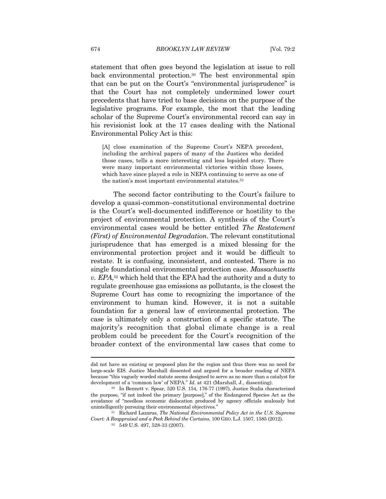statement that often goes beyond the legislation at issue to roll back environmental protection.50 The best environmental spin that can be put on the Court's "environmental jurisprudence" is that the Court has not completely undermined lower court precedents that have tried to base decisions on the purpose of the legislative programs. For example, the most that the leading scholar of the Supreme Court's environmental record can say in his revisionist look at the 17 cases dealing with the National Environmental Policy Act is this:

[A] close examination of the Supreme Court's NEPA precedent, including the archival papers of many of the Justices who decided those cases, tells a more interesting and less lopsided story. There were many important environmental victories within those losses, which have since played a role in NEPA continuing to serve as one of the nation's most important environmental statutes.51

The second factor contributing to the Court's failure to develop a quasi-common–constitutional environmental doctrine is the Court's well-documented indifference or hostility to the project of environmental protection. A synthesis of the Court's environmental cases would be better entitled *The Restatement (First) of Environmental Degradation*. The relevant constitutional jurisprudence that has emerged is a mixed blessing for the environmental protection project and it would be difficult to restate. It is confusing, inconsistent, and contested. There is no single foundational environmental protection case. *Massachusetts v. EPA*,52 which held that the EPA had the authority and a duty to regulate greenhouse gas emissions as pollutants, is the closest the Supreme Court has come to recognizing the importance of the environment to human kind. However, it is not a suitable foundation for a general law of environmental protection. The case is ultimately only a construction of a specific statute. The majority's recognition that global climate change is a real problem could be precedent for the Court's recognition of the broader context of the environmental law cases that come to

did not have an existing or proposed plan for the region and thus there was no need for large-scale EIS. Justice Marshall dissented and argued for a broader reading of NEPA because "this vaguely worded statute seems designed to serve as no more than a catalyst for development of a 'common law' of NEPA." *Id.* at 421 (Marshall, J., dissenting).<br><sup>50</sup> In Bennett v. Spear, 520 U.S. 154, 176-77 (1997), Justice Scalia characterized

the purpose, "if not indeed the primary [purpose]," of the Endangered Species Act as the avoidance of "needless economic dislocation produced by agency officials zealously but unintelligently pursuing their environmental objectives." 51 Richard Lazarus, *The National Environmental Policy Act in the U.S. Supreme* 

*Court: A Reappraisal and a Peek Behind the Curtains*, 100 GEO. L.J. 1507, 1585 (2012). <sup>52</sup> 549 U.S. 497, 528-33 (2007).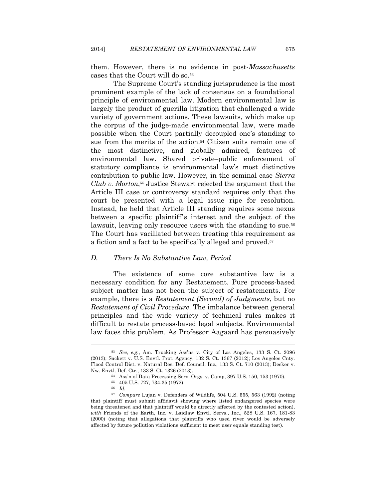them. However, there is no evidence in post-*Massachusetts* cases that the Court will do so.53

The Supreme Court's standing jurisprudence is the most prominent example of the lack of consensus on a foundational principle of environmental law. Modern environmental law is largely the product of guerilla litigation that challenged a wide variety of government actions. These lawsuits, which make up the corpus of the judge-made environmental law, were made possible when the Court partially decoupled one's standing to sue from the merits of the action.<sup>54</sup> Citizen suits remain one of the most distinctive, and globally admired, features of environmental law. Shared private–public enforcement of statutory compliance is environmental law's most distinctive contribution to public law. However, in the seminal case *Sierra Club v. Morton*,55 Justice Stewart rejected the argument that the Article III case or controversy standard requires only that the court be presented with a legal issue ripe for resolution. Instead, he held that Article III standing requires some nexus between a specific plaintiff's interest and the subject of the lawsuit, leaving only resource users with the standing to sue.<sup>56</sup> The Court has vacillated between treating this requirement as a fiction and a fact to be specifically alleged and proved.57

#### *D. There Is No Substantive Law, Period*

The existence of some core substantive law is a necessary condition for any Restatement. Pure process-based subject matter has not been the subject of restatements. For example, there is a *Restatement (Second) of Judgments*, but no *Restatement of Civil Procedure*. The imbalance between general principles and the wide variety of technical rules makes it difficult to restate process-based legal subjects. Environmental law faces this problem. As Professor Aagaard has persuasively

<sup>53</sup> *See, e.g.*, Am. Trucking Ass'ns v. City of Los Angeles, 133 S. Ct. 2096 (2013); Sackett v. U.S. Envtl. Prot. Agency, 132 S. Ct. 1367 (2012); Los Angeles Cnty. Flood Control Dist. v. Natural Res. Def. Council, Inc., 133 S. Ct. 710 (2013); Decker v. Nw. Envtl. Def. Ctr., 133 S. Ct. 1326 (2013). 54 Ass'n of Data Processing Serv. Orgs. v. Camp, 397 U.S. 150, 153 (1970).

<sup>55 405</sup> U.S. 727, 734-35 (1972).

<sup>56</sup> *Id.*

<sup>57</sup> *Compare* Lujan v. Defenders of Wildlife, 504 U.S. 555, 563 (1992) (noting that plaintiff must submit affidavit showing where listed endangered species were being threatened and that plaintiff would be directly affected by the contested action), *with* Friends of the Earth, Inc. v. Laidlaw Envtl. Servs., Inc., 528 U.S. 167, 181-83 (2000) (noting that allegations that plaintiffs who used river would be adversely affected by future pollution violations sufficient to meet user equals standing test).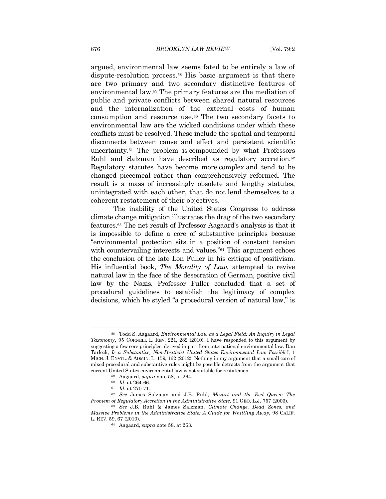argued, environmental law seems fated to be entirely a law of dispute-resolution process.58 His basic argument is that there are two primary and two secondary distinctive features of environmental law.59 The primary features are the mediation of public and private conflicts between shared natural resources and the internalization of the external costs of human consumption and resource use.60 The two secondary facets to environmental law are the wicked conditions under which these conflicts must be resolved. These include the spatial and temporal disconnects between cause and effect and persistent scientific uncertainty.61 The problem is compounded by what Professors Ruhl and Salzman have described as regulatory accretion.<sup>62</sup> Regulatory statutes have become more complex and tend to be changed piecemeal rather than comprehensively reformed. The result is a mass of increasingly obsolete and lengthy statutes, unintegrated with each other, that do not lend themselves to a coherent restatement of their objectives.

The inability of the United States Congress to address climate change mitigation illustrates the drag of the two secondary features.63 The net result of Professor Aagaard's analysis is that it is impossible to define a core of substantive principles because "environmental protection sits in a position of constant tension with countervailing interests and values."64 This argument echoes the conclusion of the late Lon Fuller in his critique of positivism. His influential book, *The Morality of Law*, attempted to revive natural law in the face of the desecration of German, positive civil law by the Nazis. Professor Fuller concluded that a set of procedural guidelines to establish the legitimacy of complex decisions, which he styled "a procedural version of natural law," is

<sup>58</sup> Todd S. Aagaard, *Environmental Law as a Legal Field: An Inquiry in Legal Taxonomy*, 95 CORNELL L. REV. 221, 282 (2010). I have responded to this argument by suggesting a few core principles, derived in part from international environmental law. Dan Tarlock, *Is a Substantive, Non-Positivist United States Environmental Law Possible?*, 1 MICH. J. ENVTL. & ADMIN. L. 159, 162 (2012). Nothing in my argument that a small core of mixed procedural and substantive rules might be possible detracts from the argument that current United States environmental law is not suitable for restatement.<br>
<sup>59</sup> Aagaard, *supra* note 58, at 264.<br>
<sup>60</sup> Id. at 264-66.<br>
<sup>61</sup> Id. at 270-71.<br>
<sup>62</sup> *See* James Salzman and J.B. Ruhl, *Mozart and the Red Queen* 

*Problem of Regulatory Accretion in the Administrative State*, 91 GEO. L.J. 757 (2003). 63 *See* J.B. Ruhl & James Salzman, *Climate Change, Dead Zones, and* 

*Massive Problems in the Administrative State: A Guide for Whittling Away*, 98 CALIF. L. REV. 59, 67 (2010). 64 Aagaard, *supra* note 58, at 263.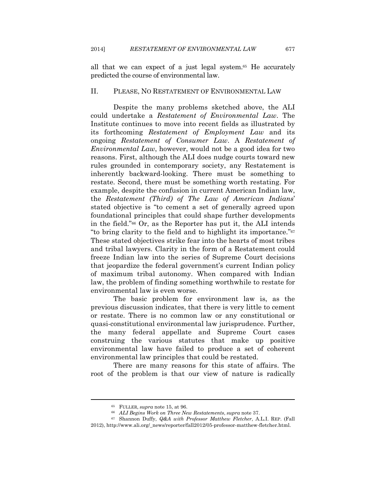all that we can expect of a just legal system.65 He accurately predicted the course of environmental law.

#### II. PLEASE, NO RESTATEMENT OF ENVIRONMENTAL LAW

Despite the many problems sketched above, the ALI could undertake a *Restatement of Environmental Law*. The Institute continues to move into recent fields as illustrated by its forthcoming *Restatement of Employment Law* and its ongoing *Restatement of Consumer Law*. A *Restatement of Environmental Law*, however, would not be a good idea for two reasons. First, although the ALI does nudge courts toward new rules grounded in contemporary society, any Restatement is inherently backward-looking. There must be something to restate. Second, there must be something worth restating. For example, despite the confusion in current American Indian law, the *Restatement (Third) of The Law of American Indians*' stated objective is "to cement a set of generally agreed upon foundational principles that could shape further developments in the field."66 Or, as the Reporter has put it, the ALI intends "to bring clarity to the field and to highlight its importance."67 These stated objectives strike fear into the hearts of most tribes and tribal lawyers. Clarity in the form of a Restatement could freeze Indian law into the series of Supreme Court decisions that jeopardize the federal government's current Indian policy of maximum tribal autonomy. When compared with Indian law, the problem of finding something worthwhile to restate for environmental law is even worse.

The basic problem for environment law is, as the previous discussion indicates, that there is very little to cement or restate. There is no common law or any constitutional or quasi-constitutional environmental law jurisprudence. Further, the many federal appellate and Supreme Court cases construing the various statutes that make up positive environmental law have failed to produce a set of coherent environmental law principles that could be restated.

There are many reasons for this state of affairs. The root of the problem is that our view of nature is radically

<sup>65</sup> FULLER, *supra* note 15, at 96. 66 *ALI Begins Work on Three New Restatements*, *supra* note 37. 67 Shannon Duffy, *Q&A with Professor Matthew Fletcher*, A.L.I. REP. (Fall 2012), http://www.ali.org/\_news/reporter/fall2012/05-professor-matthew-fletcher.html.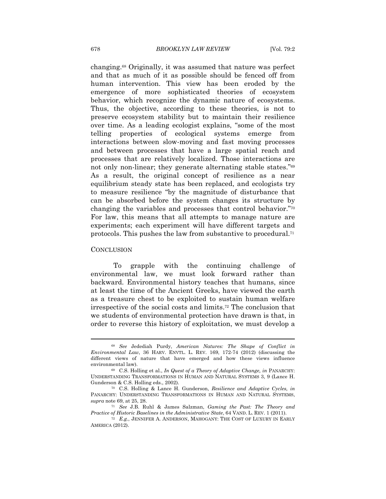changing.68 Originally, it was assumed that nature was perfect and that as much of it as possible should be fenced off from human intervention. This view has been eroded by the emergence of more sophisticated theories of ecosystem behavior, which recognize the dynamic nature of ecosystems. Thus, the objective, according to these theories, is not to preserve ecosystem stability but to maintain their resilience over time. As a leading ecologist explains, "some of the most telling properties of ecological systems emerge from interactions between slow-moving and fast moving processes and between processes that have a large spatial reach and processes that are relatively localized. Those interactions are not only non-linear; they generate alternating stable states."69 As a result, the original concept of resilience as a near equilibrium steady state has been replaced, and ecologists try to measure resilience "by the magnitude of disturbance that can be absorbed before the system changes its structure by changing the variables and processes that control behavior."70 For law, this means that all attempts to manage nature are experiments; each experiment will have different targets and protocols. This pushes the law from substantive to procedural.71

#### **CONCLUSION**

To grapple with the continuing challenge of environmental law, we must look forward rather than backward. Environmental history teaches that humans, since at least the time of the Ancient Greeks, have viewed the earth as a treasure chest to be exploited to sustain human welfare irrespective of the social costs and limits.72 The conclusion that we students of environmental protection have drawn is that, in order to reverse this history of exploitation, we must develop a

<sup>68</sup> *See* Jedediah Purdy, *American Natures: The Shape of Conflict in Environmental Law*, 36 HARV. ENVTL. L. REV. 169, 172-74 (2012) (discussing the different views of nature that have emerged and how these views influence environmental law). 69 C.S. Holling et al., *In Quest of a Theory of Adaptive Change, in* PANARCHY:

UNDERSTANDING TRANSFORMATIONS IN HUMAN AND NATURAL SYSTEMS 3, 9 (Lance H. Gunderson & C.S. Holling eds., 2002).<br><sup>70</sup> C.S. Holling & Lance H. Gunderson, *Resilience and Adaptive Cycles, in* 

PANARCHY: UNDERSTANDING TRANSFORMATIONS IN HUMAN AND NATURAL SYSTEMS, *supra* note 69, at 25, 28. 71 *See* J.B. Ruhl & James Salzman, *Gaming the Past: The Theory and* 

*Practice of Historic Baselines in the Administrative State*, 64 VAND. L. REV. 1 (2011).<br><sup>72</sup> E.g., JENNIFER A. ANDERSON, MAHOGANY: THE COST OF LUXURY IN EARLY AMERICA (2012).